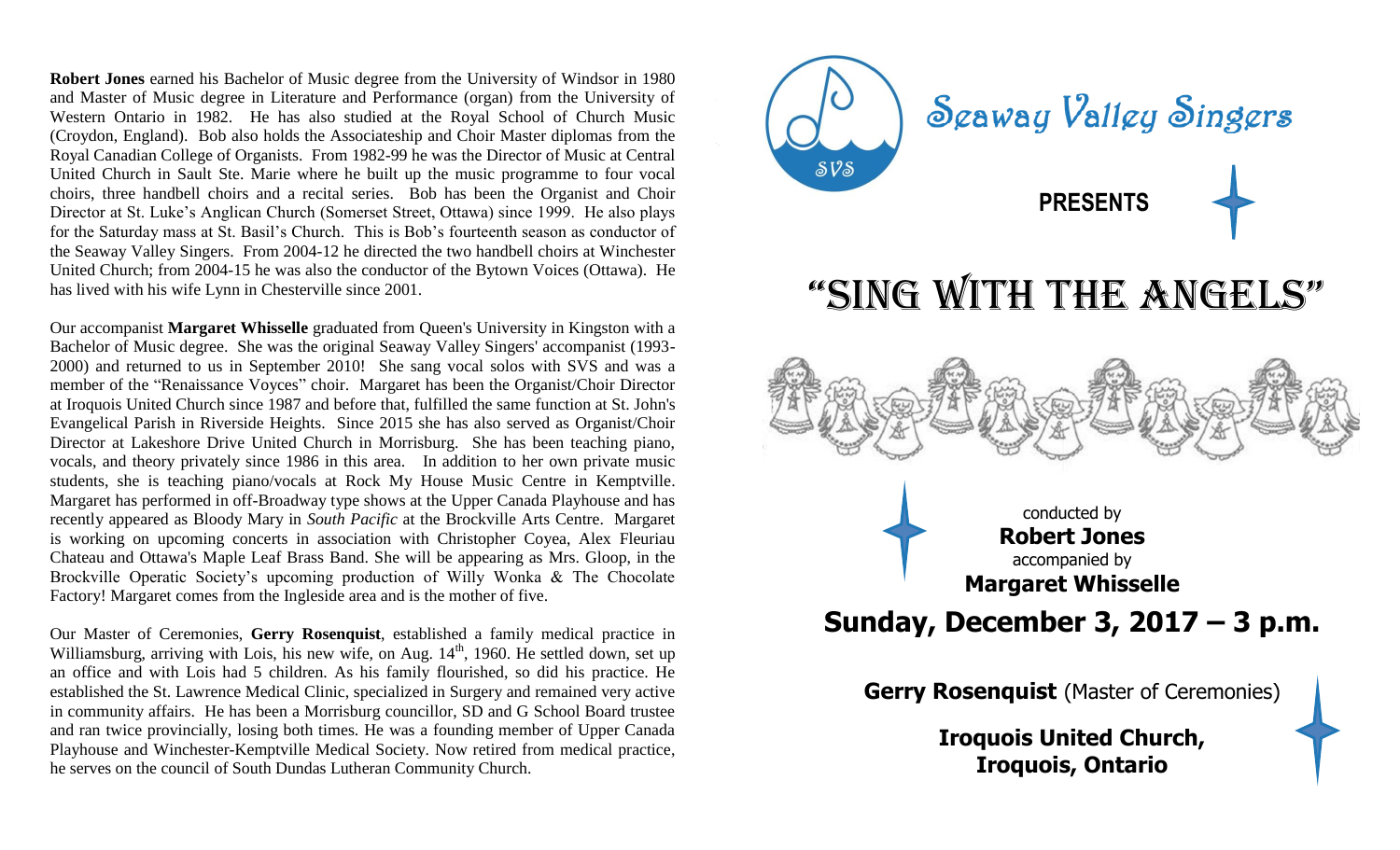**Robert Jones** earned his Bachelor of Music degree from the University of Windsor in 1980 and Master of Music degree in Literature and Performance (organ) from the University of Western Ontario in 1982. He has also studied at the Royal School of Church Music (Croydon, England). Bob also holds the Associateship and Choir Master diplomas from the Royal Canadian College of Organists. From 1982-99 he was the Director of Music at Central United Church in Sault Ste. Marie where he built up the music programme to four vocal choirs, three handbell choirs and a recital series. Bob has been the Organist and Choir Director at St. Luke's Anglican Church (Somerset Street, Ottawa) since 1999. He also plays for the Saturday mass at St. Basil's Church. This is Bob's fourteenth season as conductor of the Seaway Valley Singers. From 2004-12 he directed the two handbell choirs at Winchester United Church; from 2004-15 he was also the conductor of the Bytown Voices (Ottawa). He has lived with his wife Lynn in Chesterville since 2001.

Our accompanist **Margaret Whisselle** graduated from Queen's University in Kingston with a Bachelor of Music degree. She was the original Seaway Valley Singers' accompanist (1993- 2000) and returned to us in September 2010! She sang vocal solos with SVS and was a member of the "Renaissance Voyces" choir. Margaret has been the Organist/Choir Director at Iroquois United Church since 1987 and before that, fulfilled the same function at St. John's Evangelical Parish in Riverside Heights. Since 2015 she has also served as Organist/Choir Director at Lakeshore Drive United Church in Morrisburg. She has been teaching piano, vocals, and theory privately since 1986 in this area. In addition to her own private music students, she is teaching piano/vocals at Rock My House Music Centre in Kemptville. Margaret has performed in off-Broadway type shows at the Upper Canada Playhouse and has recently appeared as Bloody Mary in *South Pacific* at the Brockville Arts Centre. Margaret is working on upcoming concerts in association with Christopher Coyea, Alex Fleuriau Chateau and Ottawa's Maple Leaf Brass Band. She will be appearing as Mrs. Gloop, in the Brockville Operatic Society's upcoming production of Willy Wonka & The Chocolate Factory! Margaret comes from the Ingleside area and is the mother of five.

Our Master of Ceremonies, **Gerry Rosenquist**, established a family medical practice in Williamsburg, arriving with Lois, his new wife, on Aug.  $14<sup>th</sup>$ , 1960. He settled down, set up an office and with Lois had 5 children. As his family flourished, so did his practice. He established the St. Lawrence Medical Clinic, specialized in Surgery and remained very active in community affairs. He has been a Morrisburg councillor, SD and G School Board trustee and ran twice provincially, losing both times. He was a founding member of Upper Canada Playhouse and Winchester-Kemptville Medical Society. Now retired from medical practice, he serves on the council of South Dundas Lutheran Community Church.



**Iroquois United Church, Iroquois, Ontario**